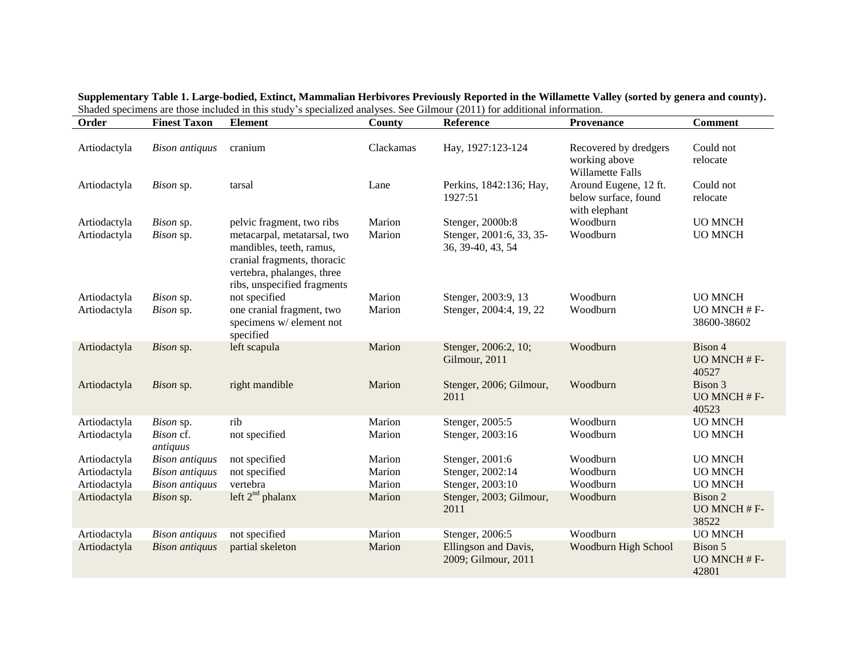| Supplementary Table 1. Large-bodied, Extinct, Mammalian Herbivores Previously Reported in the Willamette Valley (sorted by genera and county). |
|------------------------------------------------------------------------------------------------------------------------------------------------|
| Shaded specimens are those included in this study's specialized analyses. See Gilmour (2011) for additional information.                       |

| Order        | <b>Finest Taxon</b>   | <b>Element</b>                                                                                                                                      | County    | Reference<br>Provenance                       |                                                                | <b>Comment</b>                          |
|--------------|-----------------------|-----------------------------------------------------------------------------------------------------------------------------------------------------|-----------|-----------------------------------------------|----------------------------------------------------------------|-----------------------------------------|
| Artiodactyla | Bison antiquus        | cranium                                                                                                                                             | Clackamas | Hay, 1927:123-124                             | Recovered by dredgers<br>working above<br>Willamette Falls     | Could not<br>relocate                   |
| Artiodactyla | <i>Bison</i> sp.      | tarsal                                                                                                                                              | Lane      | Perkins, 1842:136; Hay,<br>1927:51            | Around Eugene, 12 ft.<br>below surface, found<br>with elephant | Could not<br>relocate                   |
| Artiodactyla | Bison sp.             | pelvic fragment, two ribs                                                                                                                           | Marion    | Stenger, 2000b:8                              | Woodburn                                                       | <b>UO MNCH</b>                          |
| Artiodactyla | Bison sp.             | metacarpal, metatarsal, two<br>mandibles, teeth, ramus,<br>cranial fragments, thoracic<br>vertebra, phalanges, three<br>ribs, unspecified fragments | Marion    | Stenger, 2001:6, 33, 35-<br>36, 39-40, 43, 54 | Woodburn                                                       | <b>UO MNCH</b>                          |
| Artiodactyla | Bison sp.             | not specified                                                                                                                                       | Marion    | Stenger, 2003:9, 13                           | Woodburn                                                       | <b>UO MNCH</b>                          |
| Artiodactyla | Bison sp.             | one cranial fragment, two<br>specimens w/ element not<br>specified                                                                                  | Marion    | Stenger, 2004:4, 19, 22                       | Woodburn                                                       | UO MNCH # F-<br>38600-38602             |
| Artiodactyla | <i>Bison</i> sp.      | left scapula                                                                                                                                        | Marion    | Stenger, 2006:2, 10;<br>Gilmour, 2011         | Woodburn                                                       | Bison 4<br><b>UO MNCH # F-</b><br>40527 |
| Artiodactyla | Bison sp.             | right mandible                                                                                                                                      | Marion    | Stenger, 2006; Gilmour,<br>2011               | Woodburn                                                       | Bison 3<br>UO MNCH # F-<br>40523        |
| Artiodactyla | Bison sp.             | rib                                                                                                                                                 | Marion    | Stenger, 2005:5                               | Woodburn                                                       | <b>UO MNCH</b>                          |
| Artiodactyla | Bison cf.<br>antiquus | not specified                                                                                                                                       | Marion    | Stenger, 2003:16                              | Woodburn                                                       | <b>UO MNCH</b>                          |
| Artiodactyla | <b>Bison</b> antiquus | not specified                                                                                                                                       | Marion    | Stenger, 2001:6                               | Woodburn                                                       | <b>UO MNCH</b>                          |
| Artiodactyla | <b>Bison</b> antiquus | not specified                                                                                                                                       | Marion    | Stenger, 2002:14                              | Woodburn                                                       | <b>UO MNCH</b>                          |
| Artiodactyla | <b>Bison</b> antiquus | vertebra                                                                                                                                            | Marion    | Woodburn<br>Stenger, 2003:10                  |                                                                | <b>UO MNCH</b>                          |
| Artiodactyla | Bison sp.             | left $2nd$ phalanx                                                                                                                                  | Marion    | Stenger, 2003; Gilmour,<br>2011               | Woodburn                                                       | Bison 2<br>UO MNCH # F-<br>38522        |
| Artiodactyla | <b>Bison</b> antiquus | not specified                                                                                                                                       | Marion    | Stenger, 2006:5                               | Woodburn                                                       | <b>UO MNCH</b>                          |
| Artiodactyla | <b>Bison</b> antiquus | partial skeleton                                                                                                                                    | Marion    | Ellingson and Davis,<br>2009; Gilmour, 2011   | Woodburn High School                                           | Bison 5<br>UO MNCH # F-<br>42801        |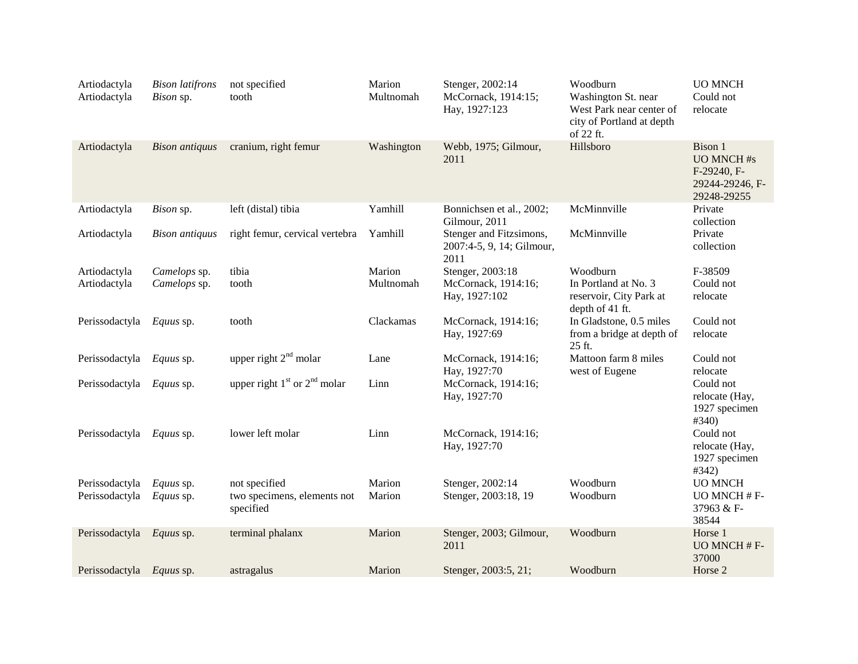| Hillsboro<br>Webb, 1975; Gilmour,<br>Bison 1<br>Artiodactyla<br><b>Bison</b> antiquus<br>cranium, right femur<br>Washington<br>2011<br><b>UO MNCH #s</b><br>F-29240, F-                                                                                                  |  |
|--------------------------------------------------------------------------------------------------------------------------------------------------------------------------------------------------------------------------------------------------------------------------|--|
| 29244-29246, F-<br>29248-29255                                                                                                                                                                                                                                           |  |
| Yamhill<br>McMinnville<br>Artiodactyla<br>left (distal) tibia<br>Bonnichsen et al., 2002;<br>Private<br>Bison sp.<br>Gilmour, 2011<br>collection                                                                                                                         |  |
| Stenger and Fitzsimons,<br>McMinnville<br>Private<br>Artiodactyla<br><b>Bison</b> antiquus<br>right femur, cervical vertebra<br>Yamhill<br>2007:4-5, 9, 14; Gilmour,<br>collection<br>2011                                                                               |  |
| Marion<br>Woodburn<br>tibia<br>Stenger, 2003:18<br>F-38509<br>Artiodactyla<br>Camelops sp.                                                                                                                                                                               |  |
| McCornack, 1914:16;<br>In Portland at No. 3<br>Could not<br>Artiodactyla<br>Camelops sp.<br>tooth<br>Multnomah<br>Hay, 1927:102<br>reservoir, City Park at<br>relocate<br>depth of 41 ft.                                                                                |  |
| Clackamas<br>In Gladstone, 0.5 miles<br>Could not<br>Equus sp.<br>McCornack, 1914:16;<br>Perissodactyla<br>tooth<br>Hay, 1927:69<br>from a bridge at depth of<br>relocate<br>25 ft.                                                                                      |  |
| upper right $2nd$ molar<br>Mattoon farm 8 miles<br>McCornack, 1914:16;<br>Could not<br>Perissodactyla<br>Equus sp.<br>Lane<br>Hay, 1927:70<br>west of Eugene<br>relocate                                                                                                 |  |
| upper right $1st$ or $2nd$ molar<br>Linn<br>McCornack, 1914:16;<br>Could not<br>Perissodactyla<br>Equus sp.<br>Hay, 1927:70<br>relocate (Hay,<br>1927 specimen<br>#340)                                                                                                  |  |
| lower left molar<br>Linn<br>Could not<br>McCornack, 1914:16;<br>Perissodactyla<br>Equus sp.<br>Hay, 1927:70<br>relocate (Hay,<br>1927 specimen<br>#342)                                                                                                                  |  |
| Marion<br>Woodburn<br>not specified<br>Stenger, 2002:14<br><b>UO MNCH</b><br>Perissodactyla<br>Equus sp.<br>Woodburn<br>two specimens, elements not<br>Marion<br>Stenger, 2003:18, 19<br>UO MNCH # F-<br>Perissodactyla<br>Equus sp.<br>specified<br>37963 & F-<br>38544 |  |
| Marion<br>Woodburn<br>Perissodactyla Equus sp.<br>terminal phalanx<br>Stenger, 2003; Gilmour,<br>Horse 1<br>2011<br>UO MNCH # F-<br>37000                                                                                                                                |  |
| Marion<br>Stenger, 2003:5, 21;<br>Woodburn<br>Horse 2<br>Perissodactyla Equus sp.<br>astragalus                                                                                                                                                                          |  |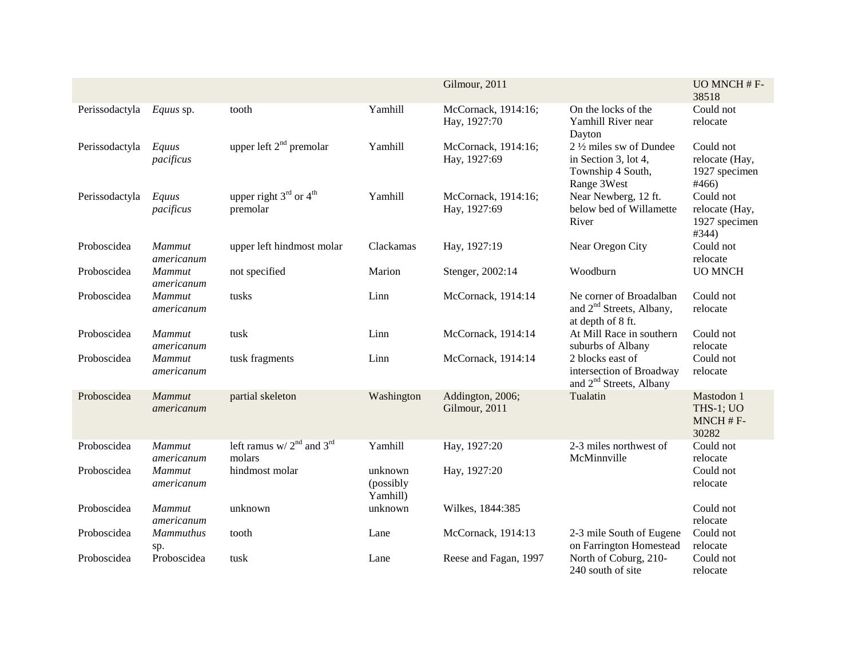|                          |                  |                               |            | Gilmour, 2011         |                                      | UO MNCH # F-<br>38518 |
|--------------------------|------------------|-------------------------------|------------|-----------------------|--------------------------------------|-----------------------|
| Perissodactyla Equus sp. |                  | tooth                         | Yamhill    | McCornack, 1914:16;   | On the locks of the                  | Could not             |
|                          |                  |                               |            | Hay, 1927:70          | Yamhill River near                   | relocate              |
|                          |                  |                               |            |                       | Dayton                               |                       |
| Perissodactyla           | Equus            | upper left $2nd$ premolar     | Yamhill    | McCornack, 1914:16;   | 2 1/2 miles sw of Dundee             | Could not             |
|                          | pacificus        |                               |            | Hay, 1927:69          | in Section 3, lot 4,                 | relocate (Hay,        |
|                          |                  |                               |            |                       | Township 4 South,                    | 1927 specimen         |
|                          |                  |                               |            |                       | Range 3West                          | #466)                 |
| Perissodactyla           | Equus            | upper right $3rd$ or $4th$    | Yamhill    | McCornack, 1914:16;   | Near Newberg, 12 ft.                 | Could not             |
|                          | pacificus        | premolar                      |            | Hay, 1927:69          | below bed of Willamette              | relocate (Hay,        |
|                          |                  |                               |            |                       | River                                | 1927 specimen         |
|                          |                  |                               |            |                       |                                      | #344)                 |
| Proboscidea              | <b>Mammut</b>    | upper left hindmost molar     | Clackamas  | Hay, 1927:19          | Near Oregon City                     | Could not             |
|                          | americanum       |                               |            |                       |                                      | relocate              |
| Proboscidea              | <b>Mammut</b>    | not specified                 | Marion     | Stenger, 2002:14      | Woodburn                             | <b>UO MNCH</b>        |
|                          | americanum       |                               |            |                       |                                      |                       |
| Proboscidea              | Mammut           | tusks                         | Linn       | McCornack, 1914:14    | Ne corner of Broadalban              | Could not             |
|                          | americanum       |                               |            |                       | and 2 <sup>nd</sup> Streets, Albany, | relocate              |
|                          |                  |                               |            |                       | at depth of 8 ft.                    |                       |
| Proboscidea              | <b>Mammut</b>    | tusk                          | Linn       | McCornack, 1914:14    | At Mill Race in southern             | Could not             |
|                          | americanum       |                               |            |                       | suburbs of Albany                    | relocate              |
| Proboscidea              | Mammut           | tusk fragments                | Linn       | McCornack, 1914:14    | 2 blocks east of                     | Could not             |
|                          | americanum       |                               |            |                       | intersection of Broadway             | relocate              |
|                          |                  |                               |            |                       | and 2 <sup>nd</sup> Streets, Albany  |                       |
| Proboscidea              | Mammut           | partial skeleton              | Washington | Addington, 2006;      | Tualatin                             | Mastodon 1            |
|                          | americanum       |                               |            | Gilmour, 2011         |                                      | <b>THS-1; UO</b>      |
|                          |                  |                               |            |                       |                                      | MNCH #F-              |
|                          |                  |                               |            |                       |                                      | 30282                 |
| Proboscidea              | Mammut           | left ramus w/ $2nd$ and $3rd$ | Yamhill    | Hay, 1927:20          | 2-3 miles northwest of               | Could not             |
|                          | americanum       | molars                        |            |                       | McMinnville                          | relocate              |
| Proboscidea              | <b>Mammut</b>    | hindmost molar                | unknown    | Hay, 1927:20          |                                      | Could not             |
|                          | americanum       |                               | (possibly  |                       |                                      | relocate              |
|                          |                  |                               | Yamhill)   |                       |                                      |                       |
| Proboscidea              | Mammut           | unknown                       | unknown    | Wilkes, 1844:385      |                                      | Could not             |
|                          | americanum       |                               |            |                       |                                      | relocate              |
| Proboscidea              | <b>Mammuthus</b> | tooth                         | Lane       | McCornack, 1914:13    | 2-3 mile South of Eugene             | Could not             |
|                          | sp.              |                               |            |                       | on Farrington Homestead              | relocate              |
| Proboscidea              | Proboscidea      | tusk                          | Lane       | Reese and Fagan, 1997 | North of Coburg, 210-                | Could not             |
|                          |                  |                               |            |                       | 240 south of site                    | relocate              |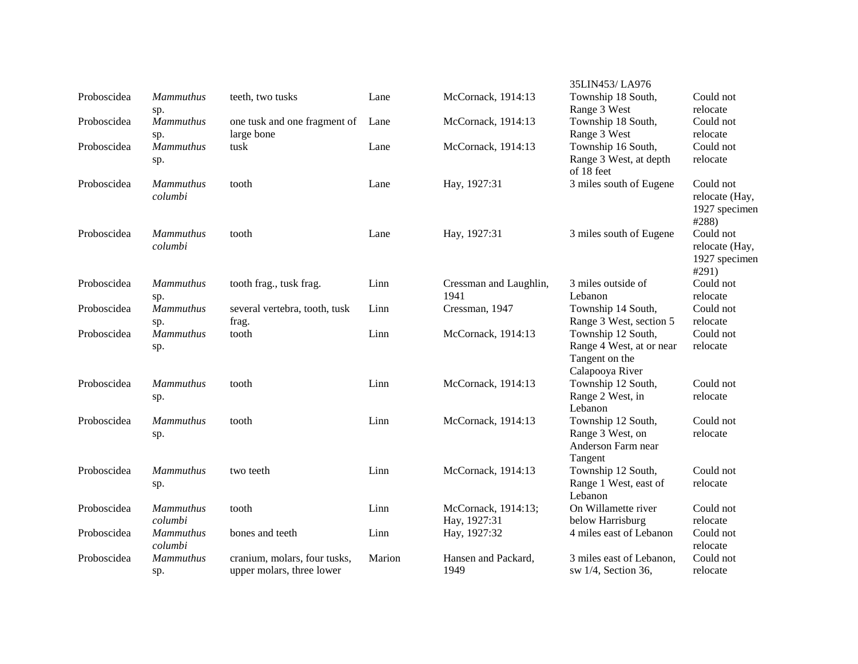|             |                  |                               |        |                        | 35LIN453/LA976                   |                    |
|-------------|------------------|-------------------------------|--------|------------------------|----------------------------------|--------------------|
| Proboscidea | <b>Mammuthus</b> | teeth, two tusks              | Lane   | McCornack, 1914:13     | Township 18 South,               | Could not          |
|             | sp.              |                               |        |                        | Range 3 West                     | relocate           |
| Proboscidea | <b>Mammuthus</b> | one tusk and one fragment of  | Lane   | McCornack, 1914:13     | Township 18 South,               | Could not          |
|             | sp.              | large bone                    |        |                        | Range 3 West                     | relocate           |
| Proboscidea | <b>Mammuthus</b> | tusk                          | Lane   | McCornack, 1914:13     | Township 16 South,               | Could not          |
|             | sp.              |                               |        |                        | Range 3 West, at depth           | relocate           |
|             |                  |                               |        |                        | of 18 feet                       |                    |
| Proboscidea | <b>Mammuthus</b> | tooth                         | Lane   | Hay, 1927:31           | 3 miles south of Eugene          | Could not          |
|             | columbi          |                               |        |                        |                                  | relocate (Hay,     |
|             |                  |                               |        |                        |                                  | 1927 specimen      |
| Proboscidea | <b>Mammuthus</b> | tooth                         |        |                        |                                  | #288)<br>Could not |
|             | columbi          |                               | Lane   | Hay, 1927:31           | 3 miles south of Eugene          | relocate (Hay,     |
|             |                  |                               |        |                        |                                  | 1927 specimen      |
|             |                  |                               |        |                        |                                  | #291)              |
| Proboscidea | Mammuthus        | tooth frag., tusk frag.       | Linn   | Cressman and Laughlin, | 3 miles outside of               | Could not          |
|             | sp.              |                               |        | 1941                   | Lebanon                          | relocate           |
| Proboscidea | <b>Mammuthus</b> | several vertebra, tooth, tusk | Linn   | Cressman, 1947         | Township 14 South,               | Could not          |
|             | sp.              | frag.                         |        |                        | Range 3 West, section 5          | relocate           |
| Proboscidea | <b>Mammuthus</b> | tooth                         | Linn   | McCornack, 1914:13     | Township 12 South,               | Could not          |
|             | sp.              |                               |        |                        | Range 4 West, at or near         | relocate           |
|             |                  |                               |        |                        | Tangent on the                   |                    |
|             |                  |                               |        |                        | Calapooya River                  |                    |
| Proboscidea | <b>Mammuthus</b> | tooth                         | Linn   | McCornack, 1914:13     | Township 12 South,               | Could not          |
|             | sp.              |                               |        |                        | Range 2 West, in                 | relocate           |
|             |                  |                               |        |                        | Lebanon                          |                    |
| Proboscidea | <b>Mammuthus</b> | tooth                         | Linn   | McCornack, 1914:13     | Township 12 South,               | Could not          |
|             | sp.              |                               |        |                        | Range 3 West, on                 | relocate           |
|             |                  |                               |        |                        | Anderson Farm near               |                    |
|             |                  |                               |        |                        | Tangent                          |                    |
| Proboscidea | <i>Mammuthus</i> | two teeth                     | Linn   | McCornack, 1914:13     | Township 12 South,               | Could not          |
|             | sp.              |                               |        |                        | Range 1 West, east of<br>Lebanon | relocate           |
| Proboscidea | <b>Mammuthus</b> | tooth                         | Linn   | McCornack, 1914:13;    | On Willamette river              | Could not          |
|             | columbi          |                               |        | Hay, 1927:31           | below Harrisburg                 | relocate           |
| Proboscidea | <b>Mammuthus</b> | bones and teeth               | Linn   | Hay, 1927:32           | 4 miles east of Lebanon          | Could not          |
|             | columbi          |                               |        |                        |                                  | relocate           |
| Proboscidea | <b>Mammuthus</b> | cranium, molars, four tusks,  | Marion | Hansen and Packard,    | 3 miles east of Lebanon,         | Could not          |
|             | sp.              | upper molars, three lower     |        | 1949                   | sw $1/4$ , Section 36,           | relocate           |
|             |                  |                               |        |                        |                                  |                    |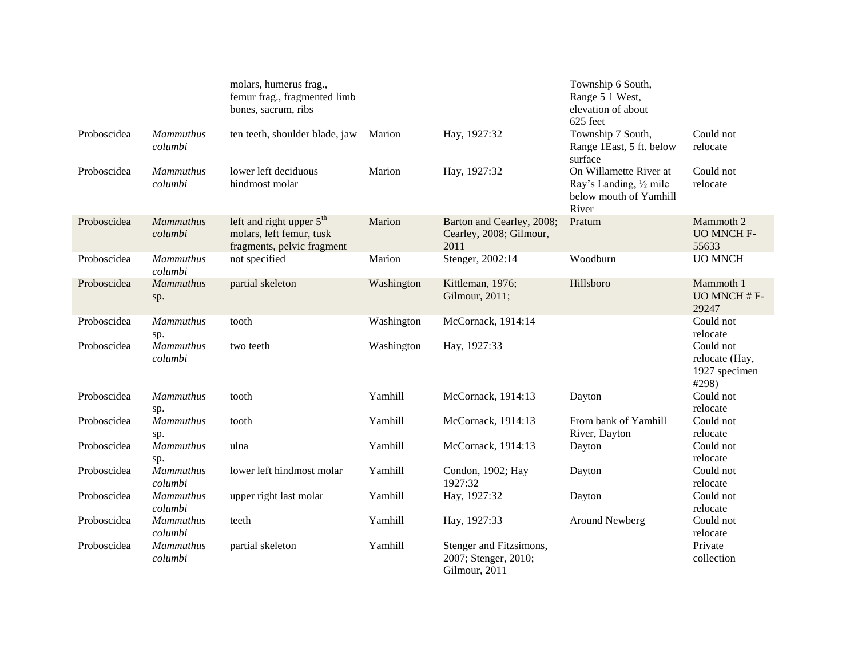|             |                             | molars, humerus frag.,<br>femur frag., fragmented limb<br>bones, sacrum, ribs        |            |                                                                  | Township 6 South,<br>Range 5 1 West,<br>elevation of about<br>625 feet               |                                                       |
|-------------|-----------------------------|--------------------------------------------------------------------------------------|------------|------------------------------------------------------------------|--------------------------------------------------------------------------------------|-------------------------------------------------------|
| Proboscidea | <b>Mammuthus</b><br>columbi | ten teeth, shoulder blade, jaw                                                       | Marion     | Hay, 1927:32                                                     | Township 7 South,<br>Range 1East, 5 ft. below<br>surface                             | Could not<br>relocate                                 |
| Proboscidea | <b>Mammuthus</b><br>columbi | lower left deciduous<br>hindmost molar                                               | Marion     | Hay, 1927:32                                                     | On Willamette River at<br>Ray's Landing, 1/2 mile<br>below mouth of Yamhill<br>River | Could not<br>relocate                                 |
| Proboscidea | <b>Mammuthus</b><br>columbi | left and right upper $5th$<br>molars, left femur, tusk<br>fragments, pelvic fragment | Marion     | Barton and Cearley, 2008;<br>Cearley, 2008; Gilmour,<br>2011     | Pratum                                                                               | Mammoth 2<br><b>UO MNCH F-</b><br>55633               |
| Proboscidea | <b>Mammuthus</b><br>columbi | not specified                                                                        | Marion     | Stenger, 2002:14                                                 | Woodburn                                                                             | <b>UO MNCH</b>                                        |
| Proboscidea | <b>Mammuthus</b><br>sp.     | partial skeleton                                                                     | Washington | Kittleman, 1976;<br>Gilmour, 2011;                               | Hillsboro                                                                            | Mammoth 1<br>UO MNCH # F-<br>29247                    |
| Proboscidea | <b>Mammuthus</b><br>sp.     | tooth                                                                                | Washington | McCornack, 1914:14                                               |                                                                                      | Could not<br>relocate                                 |
| Proboscidea | <b>Mammuthus</b><br>columbi | two teeth                                                                            | Washington | Hay, 1927:33                                                     |                                                                                      | Could not<br>relocate (Hay,<br>1927 specimen<br>#298) |
| Proboscidea | <b>Mammuthus</b><br>sp.     | tooth                                                                                | Yamhill    | McCornack, 1914:13                                               | Dayton                                                                               | Could not<br>relocate                                 |
| Proboscidea | <b>Mammuthus</b><br>sp.     | tooth                                                                                | Yamhill    | McCornack, 1914:13                                               | From bank of Yamhill<br>River, Dayton                                                | Could not<br>relocate                                 |
| Proboscidea | <b>Mammuthus</b><br>sp.     | ulna                                                                                 | Yamhill    | McCornack, 1914:13                                               | Dayton                                                                               | Could not<br>relocate                                 |
| Proboscidea | <b>Mammuthus</b><br>columbi | lower left hindmost molar                                                            | Yamhill    | Condon, 1902; Hay<br>Dayton<br>1927:32                           |                                                                                      | Could not<br>relocate                                 |
| Proboscidea | <b>Mammuthus</b><br>columbi | upper right last molar                                                               | Yamhill    | Hay, 1927:32                                                     | Dayton                                                                               | Could not<br>relocate                                 |
| Proboscidea | <b>Mammuthus</b><br>columbi | teeth                                                                                | Yamhill    | Hay, 1927:33                                                     | Around Newberg                                                                       | Could not<br>relocate                                 |
| Proboscidea | <b>Mammuthus</b><br>columbi | partial skeleton                                                                     | Yamhill    | Stenger and Fitzsimons,<br>2007; Stenger, 2010;<br>Gilmour, 2011 |                                                                                      | Private<br>collection                                 |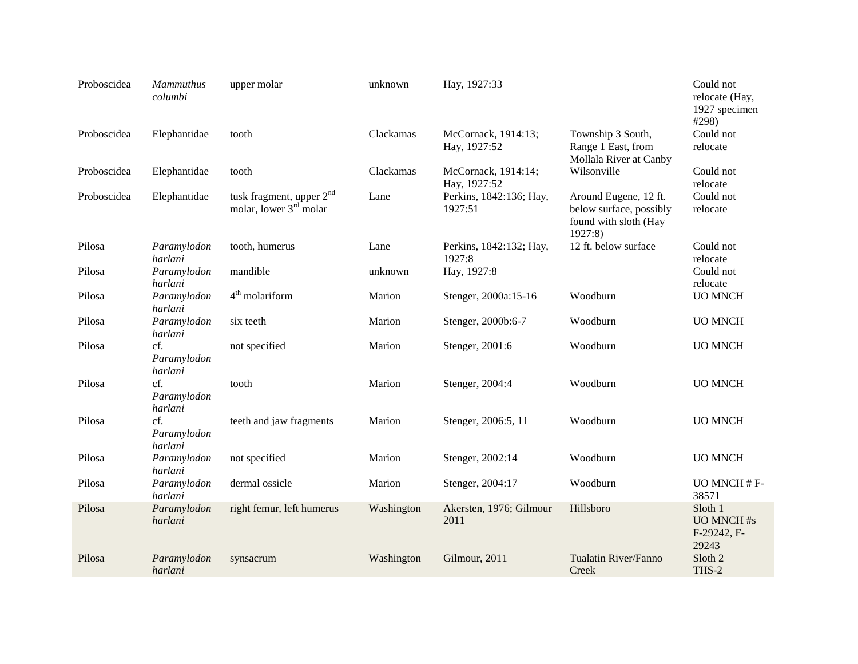| Proboscidea | <b>Mammuthus</b><br>columbi   | upper molar                                            | unknown    | Hay, 1927:33                        |                                                                                     | Could not<br>relocate (Hay,<br>1927 specimen<br>#298) |
|-------------|-------------------------------|--------------------------------------------------------|------------|-------------------------------------|-------------------------------------------------------------------------------------|-------------------------------------------------------|
| Proboscidea | Elephantidae                  | tooth                                                  | Clackamas  | McCornack, 1914:13;<br>Hay, 1927:52 | Township 3 South,<br>Range 1 East, from<br>Mollala River at Canby                   | Could not<br>relocate                                 |
| Proboscidea | Elephantidae                  | tooth                                                  | Clackamas  | McCornack, 1914:14;<br>Hay, 1927:52 | Wilsonville                                                                         | Could not<br>relocate                                 |
| Proboscidea | Elephantidae                  | tusk fragment, upper $2nd$<br>molar, lower $3rd$ molar | Lane       | Perkins, 1842:136; Hay,<br>1927:51  | Around Eugene, 12 ft.<br>below surface, possibly<br>found with sloth (Hay<br>1927:8 | Could not<br>relocate                                 |
| Pilosa      | Paramylodon<br>harlani        | tooth, humerus                                         | Lane       | Perkins, 1842:132; Hay,<br>1927:8   | 12 ft. below surface                                                                | Could not<br>relocate                                 |
| Pilosa      | Paramylodon<br>harlani        | mandible                                               | unknown    | Hay, 1927:8                         |                                                                                     | Could not<br>relocate                                 |
| Pilosa      | Paramylodon<br>harlani        | $4th$ molariform                                       | Marion     | Stenger, 2000a:15-16                | Woodburn                                                                            | <b>UO MNCH</b>                                        |
| Pilosa      | Paramylodon<br>harlani        | six teeth                                              | Marion     | Stenger, 2000b:6-7                  | Woodburn                                                                            | <b>UO MNCH</b>                                        |
| Pilosa      | cf.<br>Paramylodon<br>harlani | not specified                                          | Marion     | Stenger, 2001:6                     | Woodburn                                                                            | <b>UO MNCH</b>                                        |
| Pilosa      | cf.<br>Paramylodon<br>harlani | tooth                                                  | Marion     | Stenger, 2004:4                     | Woodburn                                                                            | <b>UO MNCH</b>                                        |
| Pilosa      | cf.<br>Paramylodon<br>harlani | teeth and jaw fragments                                | Marion     | Stenger, 2006:5, 11                 | Woodburn                                                                            | <b>UO MNCH</b>                                        |
| Pilosa      | Paramylodon<br>harlani        | not specified                                          | Marion     | Stenger, 2002:14                    | Woodburn                                                                            | <b>UO MNCH</b>                                        |
| Pilosa      | Paramylodon<br>harlani        | dermal ossicle                                         | Marion     | Stenger, 2004:17                    | Woodburn                                                                            | UO MNCH # F-<br>38571                                 |
| Pilosa      | Paramylodon<br>harlani        | right femur, left humerus                              | Washington | Akersten, 1976; Gilmour<br>2011     | Hillsboro                                                                           | Sloth 1<br><b>UO MNCH #s</b><br>F-29242, F-<br>29243  |
| Pilosa      | Paramylodon<br>harlani        | synsacrum                                              | Washington | Gilmour, 2011                       | <b>Tualatin River/Fanno</b><br>Creek                                                | Sloth <sub>2</sub><br>THS-2                           |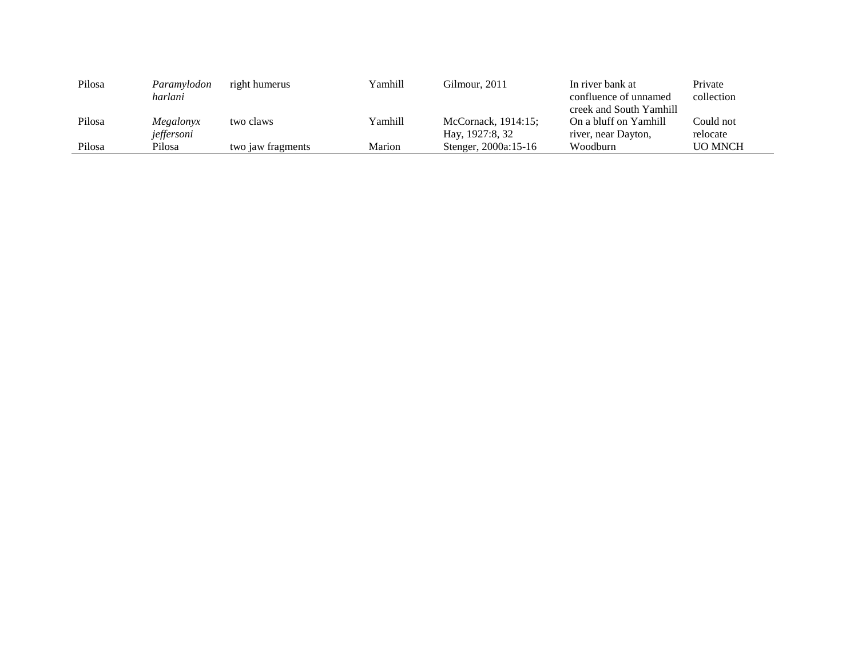| Pilosa | Paramvlodon<br>harlani | right humerus     | Yamhill | Gilmour, 2011        | In river bank at<br>confluence of unnamed<br>creek and South Yamhill | Private<br>collection |
|--------|------------------------|-------------------|---------|----------------------|----------------------------------------------------------------------|-----------------------|
| Pilosa | Megalonyx              | two claws         | Yamhill | McCornack, 1914:15;  | On a bluff on Yamhill                                                | Could not             |
|        | jeffersoni             |                   |         | Hay, 1927:8, 32      | river, near Dayton,                                                  | relocate              |
| Pilosa | Pilosa                 | two jaw fragments | Marion  | Stenger, 2000a:15-16 | Woodburn                                                             | <b>UO MNCH</b>        |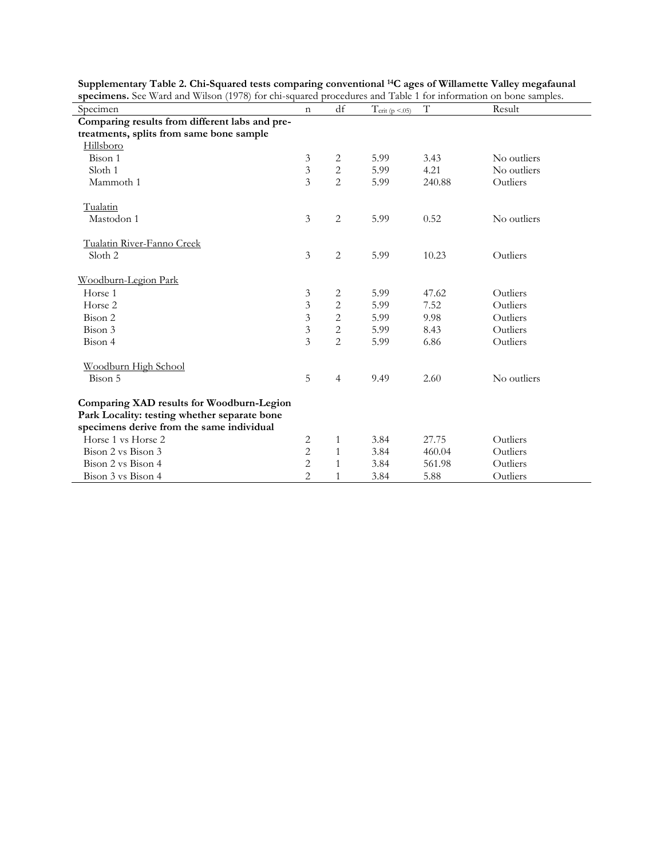| $\sigma$ of the contract of the contract $(17/6)$ for the squared procedures and Table T for information on bone samples.<br>Specimen | n                       | df             | $T_{crit (p < .05)}$ | $\mathbf T$ | Result      |  |  |  |
|---------------------------------------------------------------------------------------------------------------------------------------|-------------------------|----------------|----------------------|-------------|-------------|--|--|--|
| Comparing results from different labs and pre-                                                                                        |                         |                |                      |             |             |  |  |  |
| treatments, splits from same bone sample                                                                                              |                         |                |                      |             |             |  |  |  |
| Hillsboro                                                                                                                             |                         |                |                      |             |             |  |  |  |
| Bison 1                                                                                                                               | 3                       | $\overline{2}$ | 5.99                 | 3.43        | No outliers |  |  |  |
| Sloth 1                                                                                                                               | 3                       | $\sqrt{2}$     | 5.99                 | 4.21        | No outliers |  |  |  |
| Mammoth 1                                                                                                                             | $\overline{3}$          | $\overline{2}$ | 5.99                 | 240.88      | Outliers    |  |  |  |
| Tualatin                                                                                                                              |                         |                |                      |             |             |  |  |  |
| Mastodon 1                                                                                                                            | 3                       | $\overline{2}$ | 5.99                 | 0.52        | No outliers |  |  |  |
| Tualatin River-Fanno Creek                                                                                                            |                         |                |                      |             |             |  |  |  |
| Sloth <sub>2</sub>                                                                                                                    | 3                       | 2              | 5.99                 | 10.23       | Outliers    |  |  |  |
| Woodburn-Legion Park                                                                                                                  |                         |                |                      |             |             |  |  |  |
| Horse 1                                                                                                                               | 3                       | $\overline{c}$ | 5.99                 | 47.62       | Outliers    |  |  |  |
| Horse 2                                                                                                                               | $\overline{3}$          | $\overline{c}$ | 5.99                 | 7.52        | Outliers    |  |  |  |
| Bison 2                                                                                                                               | 3                       | $\sqrt{2}$     | 5.99                 | 9.98        | Outliers    |  |  |  |
| Bison 3                                                                                                                               | $\overline{\mathbf{3}}$ | $\sqrt{2}$     | 5.99                 | 8.43        | Outliers    |  |  |  |
| Bison 4                                                                                                                               | $\overline{3}$          | $\overline{2}$ | 5.99                 | 6.86        | Outliers    |  |  |  |
| Woodburn High School                                                                                                                  |                         |                |                      |             |             |  |  |  |
| Bison 5                                                                                                                               | 5                       | $\overline{4}$ | 9.49                 | 2.60        | No outliers |  |  |  |
| Comparing XAD results for Woodburn-Legion                                                                                             |                         |                |                      |             |             |  |  |  |
| Park Locality: testing whether separate bone                                                                                          |                         |                |                      |             |             |  |  |  |
| specimens derive from the same individual                                                                                             |                         |                |                      |             |             |  |  |  |
| Horse 1 vs Horse 2                                                                                                                    | 2                       | $\mathbf{1}$   | 3.84                 | 27.75       | Outliers    |  |  |  |
| Bison 2 vs Bison 3                                                                                                                    | $\overline{c}$          | $\mathbf{1}$   | 3.84                 | 460.04      | Outliers    |  |  |  |
| Bison 2 vs Bison 4                                                                                                                    | $\overline{2}$          | $\mathbf{1}$   | 3.84                 | 561.98      | Outliers    |  |  |  |
| Bison 3 vs Bison 4                                                                                                                    | $\overline{c}$          | $\mathbf{1}$   | 3.84                 | 5.88        | Outliers    |  |  |  |

**Supplementary Table 2. Chi-Squared tests comparing conventional 14C ages of Willamette Valley megafaunal specimens.** See Ward and Wilson (1978) for chi-squared procedures and Table 1 for information on bone samples.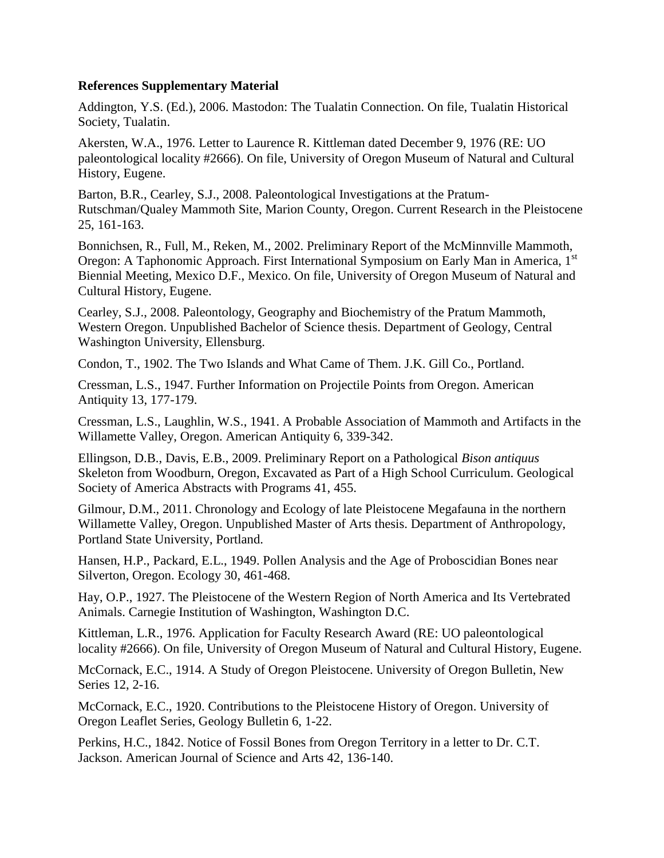## **References Supplementary Material**

Addington, Y.S. (Ed.), 2006. Mastodon: The Tualatin Connection. On file, Tualatin Historical Society, Tualatin.

Akersten, W.A., 1976. Letter to Laurence R. Kittleman dated December 9, 1976 (RE: UO paleontological locality #2666). On file, University of Oregon Museum of Natural and Cultural History, Eugene.

Barton, B.R., Cearley, S.J., 2008. Paleontological Investigations at the Pratum-Rutschman/Qualey Mammoth Site, Marion County, Oregon. Current Research in the Pleistocene 25, 161-163.

Bonnichsen, R., Full, M., Reken, M., 2002. Preliminary Report of the McMinnville Mammoth, Oregon: A Taphonomic Approach. First International Symposium on Early Man in America, 1<sup>st</sup> Biennial Meeting, Mexico D.F., Mexico. On file, University of Oregon Museum of Natural and Cultural History, Eugene.

Cearley, S.J., 2008. Paleontology, Geography and Biochemistry of the Pratum Mammoth, Western Oregon. Unpublished Bachelor of Science thesis. Department of Geology, Central Washington University, Ellensburg.

Condon, T., 1902. The Two Islands and What Came of Them. J.K. Gill Co., Portland.

Cressman, L.S., 1947. Further Information on Projectile Points from Oregon. American Antiquity 13, 177-179.

Cressman, L.S., Laughlin, W.S., 1941. A Probable Association of Mammoth and Artifacts in the Willamette Valley, Oregon. American Antiquity 6, 339-342.

Ellingson, D.B., Davis, E.B., 2009. Preliminary Report on a Pathological *Bison antiquus* Skeleton from Woodburn, Oregon, Excavated as Part of a High School Curriculum. Geological Society of America Abstracts with Programs 41, 455.

Gilmour, D.M., 2011. Chronology and Ecology of late Pleistocene Megafauna in the northern Willamette Valley, Oregon. Unpublished Master of Arts thesis. Department of Anthropology, Portland State University, Portland.

Hansen, H.P., Packard, E.L., 1949. Pollen Analysis and the Age of Proboscidian Bones near Silverton, Oregon. Ecology 30, 461-468.

Hay, O.P., 1927. The Pleistocene of the Western Region of North America and Its Vertebrated Animals. Carnegie Institution of Washington, Washington D.C.

Kittleman, L.R., 1976. Application for Faculty Research Award (RE: UO paleontological locality #2666). On file, University of Oregon Museum of Natural and Cultural History, Eugene.

McCornack, E.C., 1914. A Study of Oregon Pleistocene. University of Oregon Bulletin, New Series 12, 2-16.

McCornack, E.C., 1920. Contributions to the Pleistocene History of Oregon. University of Oregon Leaflet Series, Geology Bulletin 6, 1-22.

Perkins, H.C., 1842. Notice of Fossil Bones from Oregon Territory in a letter to Dr. C.T. Jackson. American Journal of Science and Arts 42, 136-140.